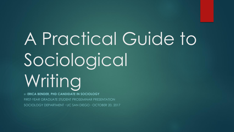# A Practical Guide to Sociological Writing BY **ERICA BENDER, PHD CANDIDATE IN SOCIOLOGY**

FIRST-YEAR GRADUATE STUDENT PROSEMINAR PRESENTATION SOCIOLOGY DEPARTMENT **∙** UC SAN DIEGO **∙** OCTOBER 20, 2017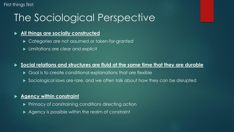First things first:

# The Sociological Perspective

#### **All things are socially constructed**

- ▶ Categories are not assumed or taken-for-granted
- **Limitations are clear and explicit**

#### **Social relations and structures are fluid at the same time that they are durable**

- Goal is to create conditional explanations that are flexible
- Sociological laws are rare, and we often talk about how they can be disrupted

#### **Agency within constraint**

- $\blacktriangleright$  Primacy of constraining conditions directing action
- Agency is possible within the realm of constraint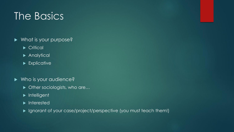# The Basics

- What is your purpose?
	- Critical<sup>®</sup>
	- **Analytical**
	- **Explicative**
- ▶ Who is your audience?
	- ▶ Other sociologists, who are...
	- $\blacktriangleright$  Intelligent
	- $\blacktriangleright$  Interested
	- Ignorant of your case/project/perspective (you must teach them!)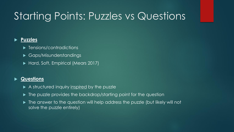# Starting Points: Puzzles vs Questions

#### **Puzzles**

- **Fansions/contradictions**
- Gaps/Misunderstandings
- Hard, Soft, Empirical (Mears 2017)

#### **Questions**

- A structured inquiry inspired by the puzzle
- ▶ The puzzle provides the backdrop/starting point for the question
- The answer to the question will help address the puzzle (but likely will not solve the puzzle entirely)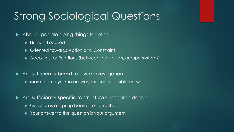### Strong Sociological Questions

#### ▶ About "people doing things together"

- **Human-Focused**
- $\triangleright$  Oriented towards Action and Constraint
- Accounts for Relations (between individuals, groups, systems)
- Are sufficiently **broad** to invite investigation
	- $\triangleright$  More than a yes/no answer; multiple plausible answers
- Are sufficiently **specific** to structure a research design
	- ▶ Question is a "spring board" for a method
	- Your answer to the question is your argument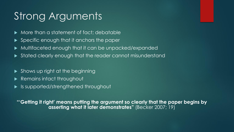# Strong Arguments

- More than a statement of fact; debatable
- ▶ Specific enough that it anchors the paper
- Multifaceted enough that it can be unpacked/expanded
- $\blacktriangleright$  Stated clearly enough that the reader cannot misunderstand
- Shows up right at the beginning
- Remains intact throughout
- ▶ Is supported/strengthened throughout

**"'Getting it right' means putting the argument so clearly that the paper begins by asserting what it later demonstrates"** (Becker 2007; 19)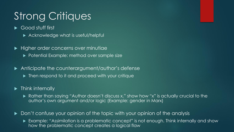# Strong Critiques

- Good stuff first
	- ▶ Acknowledge what is useful/helpful
- $\blacktriangleright$  Higher order concerns over minutiae ▶ Potential Example: method over sample size
- Anticipate the counterargument/author's defense
	- ▶ Then respond to it and proceed with your critique
- $\blacktriangleright$  Think internally
	- ▶ Rather than saying "Author doesn't discuss x," show how "x" is actually crucial to the author's own argument and/or logic (Example: gender in Marx)
- Don't confuse your opinion of the topic with your opinion of the analysis
	- Example: "Assimilation is a problematic concept" is not enough. Think internally and show how the problematic concept creates a logical flaw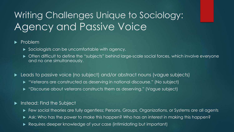### Writing Challenges Unique to Sociology: Agency and Passive Voice

#### $\blacktriangleright$  Problem

- Sociologists can be uncomfortable with agency.
- ▶ Often difficult to define the "subjects" behind large-scale social forces, which involve everyone and no one simultaneously.
- ▶ Leads to passive voice (no subject) and/or abstract nouns (vague subjects)
	- "Veterans are constructed as deserving in national discourse." (No subject)
	- ▶ "Discourse about veterans constructs them as deserving." (Vague subject)

#### **Instead: Find the Subject**

- Few social theories are fully agentless; Persons, Groups, Organizations, or Systems are all agents
- Ask: Who has the power to make this happen? Who has an interest in making this happen?
- Requires deeper knowledge of your case (intimidating but important)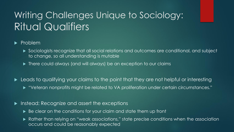### Writing Challenges Unique to Sociology: Ritual Qualifiers

#### $\blacktriangleright$  Problem

- Sociologists recognize that all social relations and outcomes are conditional, and subject to change, so all understanding is mutable
- ▶ There could always (and will always) be an exception to our claims
- **Leads to qualifying your claims to the point that they are not helpful or interesting** 
	- "Veteran nonprofits might be related to VA proliferation under certain circumstances."
- **Instead: Recognize and assert the exceptions** 
	- ▶ Be clear on the conditions for your claim and state them up front
	- Rather than relying on "weak associations," state precise conditions when the association occurs and could be reasonably expected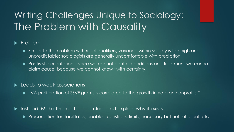### Writing Challenges Unique to Sociology: The Problem with Causality

### $\blacktriangleright$  Problem

- Similar to the problem with ritual qualifiers; variance within society is too high and unpredictable; sociologists are generally uncomfortable with prediction.
- ▶ Positivistic orientation since we cannot control conditions and treatment we cannot claim cause, because we cannot know "with certainty."

#### **Leads to weak associations**

- "VA proliferation of SSVF grants is correlated to the growth in veteran nonprofits."
- ▶ Instead: Make the relationship clear and explain why it exists
	- **Precondition for, facilitates, enables, constricts, limits, necessary but not sufficient, etc.**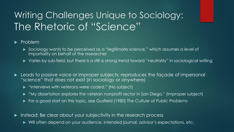### Writing Challenges Unique to Sociology: The Rhetoric of "Science"

#### $\blacktriangleright$  Problem

- Sociology wants to be perceived as a "legitimate science," which assumes a level of impartiality on behalf of the researcher
- Varies by sub-field, but there is a still a strong trend toward "neutrality" in sociological writing
- **Leads to passive voice or improper subjects; reproduces the façade of impersonal** "science" that does not exist (in sociology or anywhere)
	- **•** "Interviews with veterans were coded." (No subject)
	- "My dissertation explores the veteran nonprofit sector in San Diego." (Improper subject)
	- For a good start on this topic, see Gusfield (1980) *The Culture of Public Problems*
- Instead: Be clear about your subjectivity in the research process
	- Will often depend on your audience, intended journal, advisor's expectations, etc.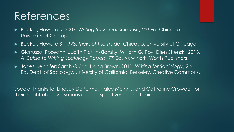### References

- ▶ Becker, Howard S. 2007. *Writing for Social Scientists, 2*<sup>nd</sup> Ed. Chicago: University of Chicago.
- Becker, Howard S. 1998. *Tricks of the Trade*. Chicago: University of Chicago.
- Giarrusso, Roseann; Judith Richlin-Klonsky; William G. Roy; Ellen Strenski. 2013. A Guide to Writing Sociology Papers, 7<sup>th</sup> Ed. New York: Worth Publishers.
- Jones, Jennifer; Sarah Quinn; Hana Brown. 2011. *Writing for Sociology*, 2nd Ed. Dept. of Sociology, University of California, Berkeley. Creative Commons.

Special thanks to: Lindsay DePalma, Haley McInnis, and Catherine Crowder for their insightful conversations and perspectives on this topic.